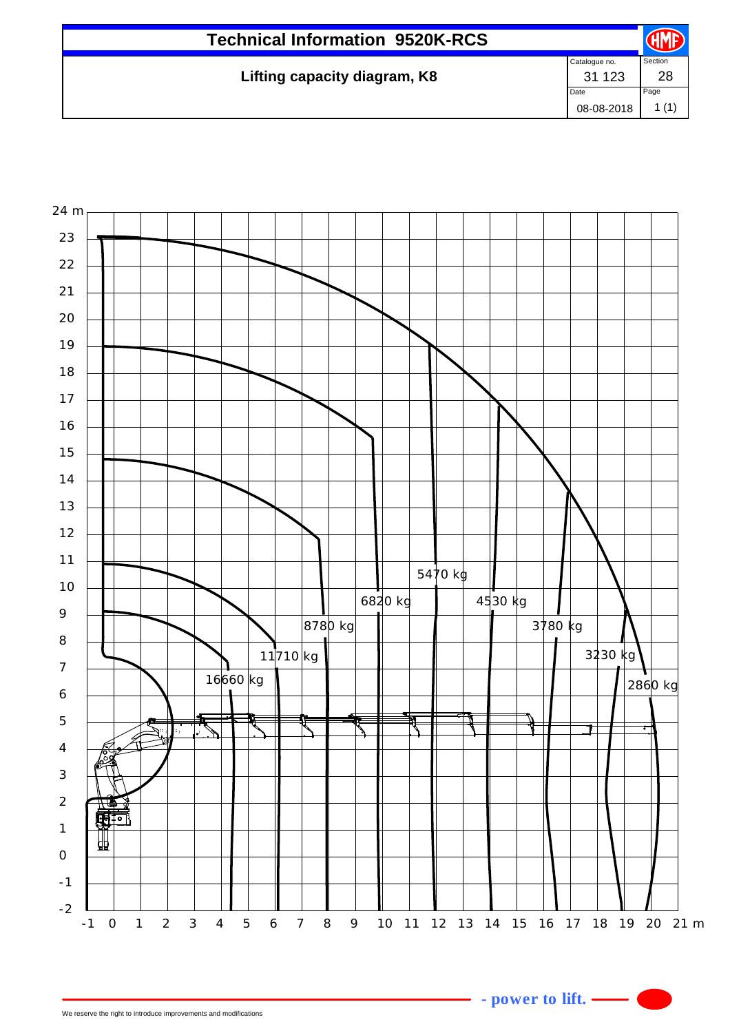| Catalogue no.<br>Lifting capacity diagram, K8<br>31 1 23 |               |
|----------------------------------------------------------|---------------|
|                                                          | Section<br>28 |
| Date<br>08-08-2018                                       | Page<br>(1)   |